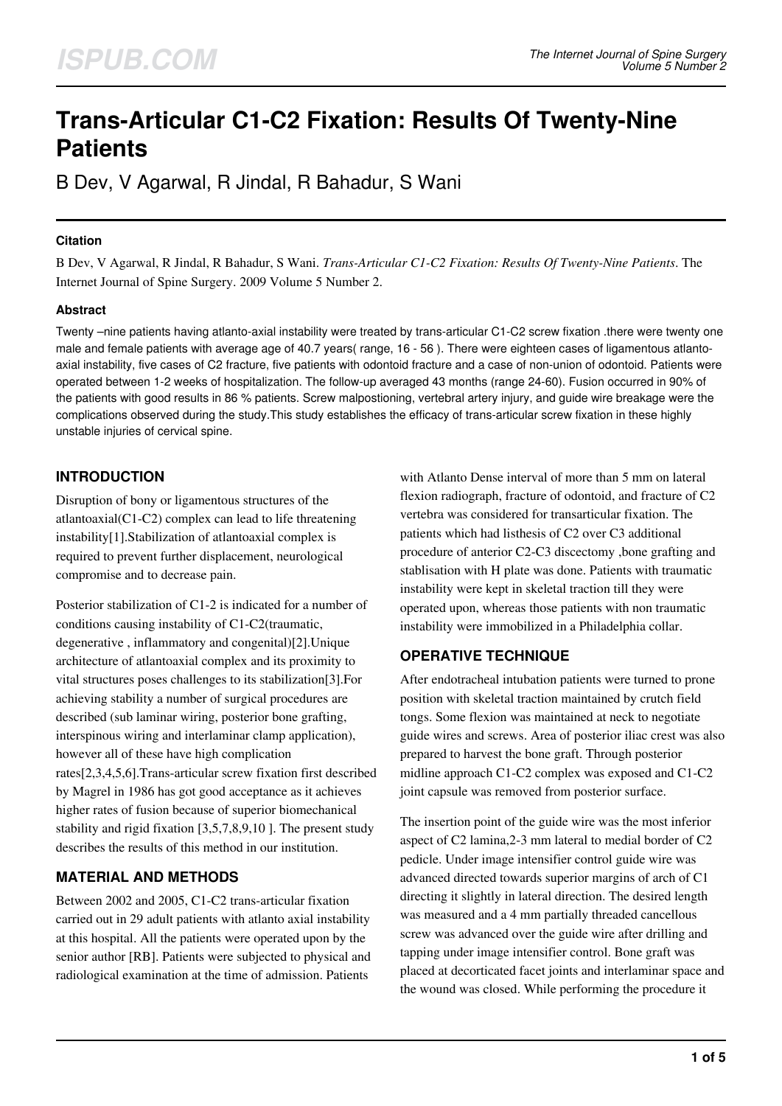# **Trans-Articular C1-C2 Fixation: Results Of Twenty-Nine Patients**

B Dev, V Agarwal, R Jindal, R Bahadur, S Wani

#### **Citation**

B Dev, V Agarwal, R Jindal, R Bahadur, S Wani. *Trans-Articular C1-C2 Fixation: Results Of Twenty-Nine Patients*. The Internet Journal of Spine Surgery. 2009 Volume 5 Number 2.

### **Abstract**

Twenty –nine patients having atlanto-axial instability were treated by trans-articular C1-C2 screw fixation .there were twenty one male and female patients with average age of 40.7 years( range, 16 - 56 ). There were eighteen cases of ligamentous atlantoaxial instability, five cases of C2 fracture, five patients with odontoid fracture and a case of non-union of odontoid. Patients were operated between 1-2 weeks of hospitalization. The follow-up averaged 43 months (range 24-60). Fusion occurred in 90% of the patients with good results in 86 % patients. Screw malpostioning, vertebral artery injury, and guide wire breakage were the complications observed during the study.This study establishes the efficacy of trans-articular screw fixation in these highly unstable injuries of cervical spine.

## **INTRODUCTION**

Disruption of bony or ligamentous structures of the atlantoaxial(C1-C2) complex can lead to life threatening instability[1].Stabilization of atlantoaxial complex is required to prevent further displacement, neurological compromise and to decrease pain.

Posterior stabilization of C1-2 is indicated for a number of conditions causing instability of C1-C2(traumatic, degenerative , inflammatory and congenital)[2].Unique architecture of atlantoaxial complex and its proximity to vital structures poses challenges to its stabilization[3].For achieving stability a number of surgical procedures are described (sub laminar wiring, posterior bone grafting, interspinous wiring and interlaminar clamp application), however all of these have high complication rates[2,3,4,5,6].Trans-articular screw fixation first described by Magrel in 1986 has got good acceptance as it achieves higher rates of fusion because of superior biomechanical stability and rigid fixation [3,5,7,8,9,10 ]. The present study describes the results of this method in our institution.

## **MATERIAL AND METHODS**

Between 2002 and 2005, C1-C2 trans-articular fixation carried out in 29 adult patients with atlanto axial instability at this hospital. All the patients were operated upon by the senior author [RB]. Patients were subjected to physical and radiological examination at the time of admission. Patients

with Atlanto Dense interval of more than 5 mm on lateral flexion radiograph, fracture of odontoid, and fracture of C2 vertebra was considered for transarticular fixation. The patients which had listhesis of C2 over C3 additional procedure of anterior C2-C3 discectomy ,bone grafting and stablisation with H plate was done. Patients with traumatic instability were kept in skeletal traction till they were operated upon, whereas those patients with non traumatic instability were immobilized in a Philadelphia collar.

## **OPERATIVE TECHNIQUE**

After endotracheal intubation patients were turned to prone position with skeletal traction maintained by crutch field tongs. Some flexion was maintained at neck to negotiate guide wires and screws. Area of posterior iliac crest was also prepared to harvest the bone graft. Through posterior midline approach C1-C2 complex was exposed and C1-C2 joint capsule was removed from posterior surface.

The insertion point of the guide wire was the most inferior aspect of C2 lamina,2-3 mm lateral to medial border of C2 pedicle. Under image intensifier control guide wire was advanced directed towards superior margins of arch of C1 directing it slightly in lateral direction. The desired length was measured and a 4 mm partially threaded cancellous screw was advanced over the guide wire after drilling and tapping under image intensifier control. Bone graft was placed at decorticated facet joints and interlaminar space and the wound was closed. While performing the procedure it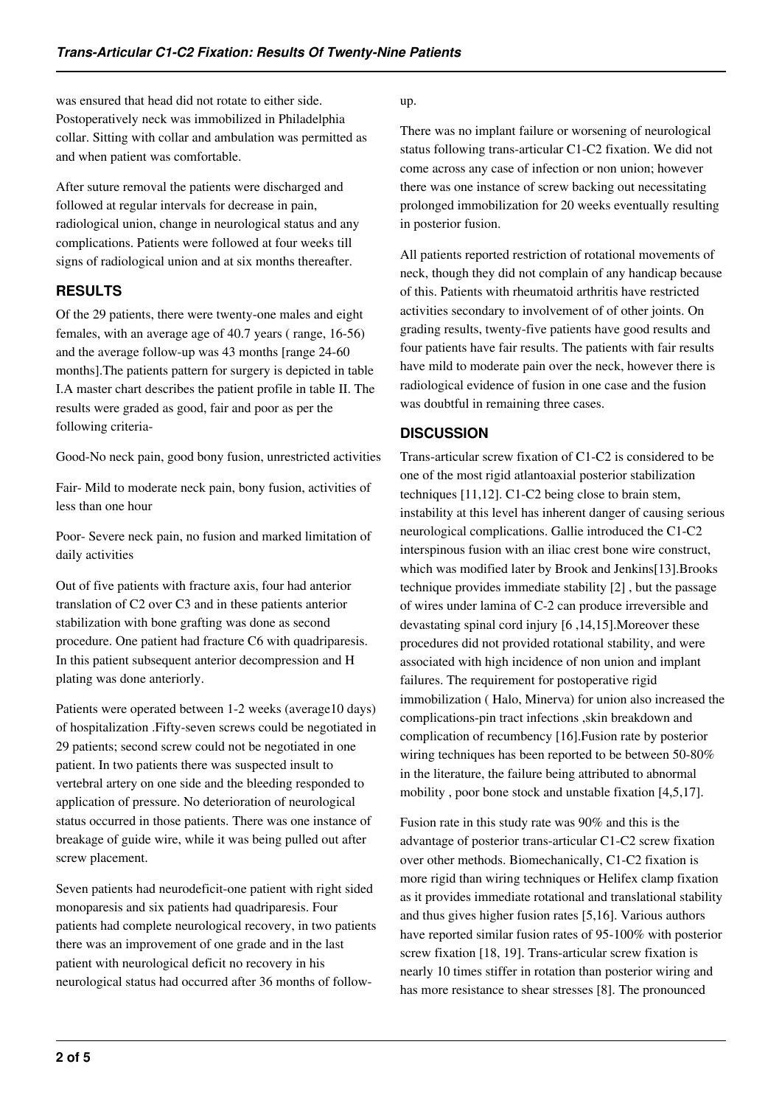was ensured that head did not rotate to either side. Postoperatively neck was immobilized in Philadelphia collar. Sitting with collar and ambulation was permitted as and when patient was comfortable.

After suture removal the patients were discharged and followed at regular intervals for decrease in pain, radiological union, change in neurological status and any complications. Patients were followed at four weeks till signs of radiological union and at six months thereafter.

## **RESULTS**

Of the 29 patients, there were twenty-one males and eight females, with an average age of 40.7 years ( range, 16-56) and the average follow-up was 43 months [range 24-60 months].The patients pattern for surgery is depicted in table I.A master chart describes the patient profile in table II. The results were graded as good, fair and poor as per the following criteria-

Good-No neck pain, good bony fusion, unrestricted activities

Fair- Mild to moderate neck pain, bony fusion, activities of less than one hour

Poor- Severe neck pain, no fusion and marked limitation of daily activities

Out of five patients with fracture axis, four had anterior translation of C2 over C3 and in these patients anterior stabilization with bone grafting was done as second procedure. One patient had fracture C6 with quadriparesis. In this patient subsequent anterior decompression and H plating was done anteriorly.

Patients were operated between 1-2 weeks (average10 days) of hospitalization .Fifty-seven screws could be negotiated in 29 patients; second screw could not be negotiated in one patient. In two patients there was suspected insult to vertebral artery on one side and the bleeding responded to application of pressure. No deterioration of neurological status occurred in those patients. There was one instance of breakage of guide wire, while it was being pulled out after screw placement.

Seven patients had neurodeficit-one patient with right sided monoparesis and six patients had quadriparesis. Four patients had complete neurological recovery, in two patients there was an improvement of one grade and in the last patient with neurological deficit no recovery in his neurological status had occurred after 36 months of follow-

### up.

There was no implant failure or worsening of neurological status following trans-articular C1-C2 fixation. We did not come across any case of infection or non union; however there was one instance of screw backing out necessitating prolonged immobilization for 20 weeks eventually resulting in posterior fusion.

All patients reported restriction of rotational movements of neck, though they did not complain of any handicap because of this. Patients with rheumatoid arthritis have restricted activities secondary to involvement of of other joints. On grading results, twenty-five patients have good results and four patients have fair results. The patients with fair results have mild to moderate pain over the neck, however there is radiological evidence of fusion in one case and the fusion was doubtful in remaining three cases.

## **DISCUSSION**

Trans-articular screw fixation of C1-C2 is considered to be one of the most rigid atlantoaxial posterior stabilization techniques [11,12]. C1-C2 being close to brain stem, instability at this level has inherent danger of causing serious neurological complications. Gallie introduced the C1-C2 interspinous fusion with an iliac crest bone wire construct, which was modified later by Brook and Jenkins[13].Brooks technique provides immediate stability [2] , but the passage of wires under lamina of C-2 can produce irreversible and devastating spinal cord injury [6 ,14,15].Moreover these procedures did not provided rotational stability, and were associated with high incidence of non union and implant failures. The requirement for postoperative rigid immobilization ( Halo, Minerva) for union also increased the complications-pin tract infections ,skin breakdown and complication of recumbency [16].Fusion rate by posterior wiring techniques has been reported to be between 50-80% in the literature, the failure being attributed to abnormal mobility , poor bone stock and unstable fixation [4,5,17].

Fusion rate in this study rate was 90% and this is the advantage of posterior trans-articular C1-C2 screw fixation over other methods. Biomechanically, C1-C2 fixation is more rigid than wiring techniques or Helifex clamp fixation as it provides immediate rotational and translational stability and thus gives higher fusion rates [5,16]. Various authors have reported similar fusion rates of 95-100% with posterior screw fixation [18, 19]. Trans-articular screw fixation is nearly 10 times stiffer in rotation than posterior wiring and has more resistance to shear stresses [8]. The pronounced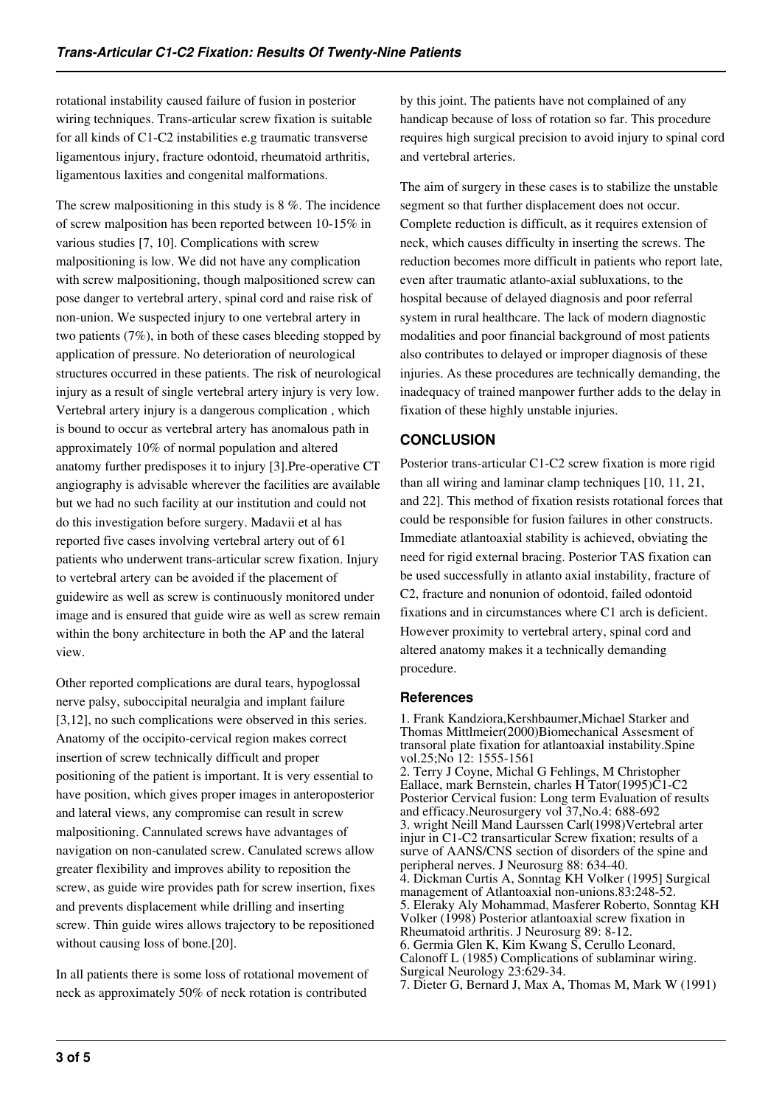rotational instability caused failure of fusion in posterior wiring techniques. Trans-articular screw fixation is suitable for all kinds of C1-C2 instabilities e.g traumatic transverse ligamentous injury, fracture odontoid, rheumatoid arthritis, ligamentous laxities and congenital malformations.

The screw malpositioning in this study is 8 %. The incidence of screw malposition has been reported between 10-15% in various studies [7, 10]. Complications with screw malpositioning is low. We did not have any complication with screw malpositioning, though malpositioned screw can pose danger to vertebral artery, spinal cord and raise risk of non-union. We suspected injury to one vertebral artery in two patients (7%), in both of these cases bleeding stopped by application of pressure. No deterioration of neurological structures occurred in these patients. The risk of neurological injury as a result of single vertebral artery injury is very low. Vertebral artery injury is a dangerous complication , which is bound to occur as vertebral artery has anomalous path in approximately 10% of normal population and altered anatomy further predisposes it to injury [3].Pre-operative CT angiography is advisable wherever the facilities are available but we had no such facility at our institution and could not do this investigation before surgery. Madavii et al has reported five cases involving vertebral artery out of 61 patients who underwent trans-articular screw fixation. Injury to vertebral artery can be avoided if the placement of guidewire as well as screw is continuously monitored under image and is ensured that guide wire as well as screw remain within the bony architecture in both the AP and the lateral view.

Other reported complications are dural tears, hypoglossal nerve palsy, suboccipital neuralgia and implant failure [3,12], no such complications were observed in this series. Anatomy of the occipito-cervical region makes correct insertion of screw technically difficult and proper positioning of the patient is important. It is very essential to have position, which gives proper images in anteroposterior and lateral views, any compromise can result in screw malpositioning. Cannulated screws have advantages of navigation on non-canulated screw. Canulated screws allow greater flexibility and improves ability to reposition the screw, as guide wire provides path for screw insertion, fixes and prevents displacement while drilling and inserting screw. Thin guide wires allows trajectory to be repositioned without causing loss of bone.[20].

In all patients there is some loss of rotational movement of neck as approximately 50% of neck rotation is contributed

by this joint. The patients have not complained of any handicap because of loss of rotation so far. This procedure requires high surgical precision to avoid injury to spinal cord and vertebral arteries.

The aim of surgery in these cases is to stabilize the unstable segment so that further displacement does not occur. Complete reduction is difficult, as it requires extension of neck, which causes difficulty in inserting the screws. The reduction becomes more difficult in patients who report late, even after traumatic atlanto-axial subluxations, to the hospital because of delayed diagnosis and poor referral system in rural healthcare. The lack of modern diagnostic modalities and poor financial background of most patients also contributes to delayed or improper diagnosis of these injuries. As these procedures are technically demanding, the inadequacy of trained manpower further adds to the delay in fixation of these highly unstable injuries.

## **CONCLUSION**

Posterior trans-articular C1-C2 screw fixation is more rigid than all wiring and laminar clamp techniques [10, 11, 21, and 22]. This method of fixation resists rotational forces that could be responsible for fusion failures in other constructs. Immediate atlantoaxial stability is achieved, obviating the need for rigid external bracing. Posterior TAS fixation can be used successfully in atlanto axial instability, fracture of C2, fracture and nonunion of odontoid, failed odontoid fixations and in circumstances where C1 arch is deficient. However proximity to vertebral artery, spinal cord and altered anatomy makes it a technically demanding procedure.

#### **References**

1. Frank Kandziora,Kershbaumer,Michael Starker and Thomas Mittlmeier(2000)Biomechanical Assesment of transoral plate fixation for atlantoaxial instability.Spine vol.25;No 12: 1555-1561 2. Terry J Coyne, Michal G Fehlings, M Christopher Eallace, mark Bernstein, charles H Tator(1995)C1-C2 Posterior Cervical fusion: Long term Evaluation of results and efficacy.Neurosurgery vol 37,No.4: 688-692 3. wright Neill Mand Laurssen Carl(1998)Vertebral arter injur in C1-C2 transarticular Screw fixation; results of a surve of AANS/CNS section of disorders of the spine and peripheral nerves. J Neurosurg 88: 634-40. 4. Dickman Curtis A, Sonntag KH Volker (1995] Surgical management of Atlantoaxial non-unions.83:248-52. 5. Eleraky Aly Mohammad, Masferer Roberto, Sonntag KH Volker (1998) Posterior atlantoaxial screw fixation in Rheumatoid arthritis. J Neurosurg 89: 8-12. 6. Germia Glen K, Kim Kwang S, Cerullo Leonard, Calonoff L (1985) Complications of sublaminar wiring. Surgical Neurology 23:629-34. 7. Dieter G, Bernard J, Max A, Thomas M, Mark W (1991)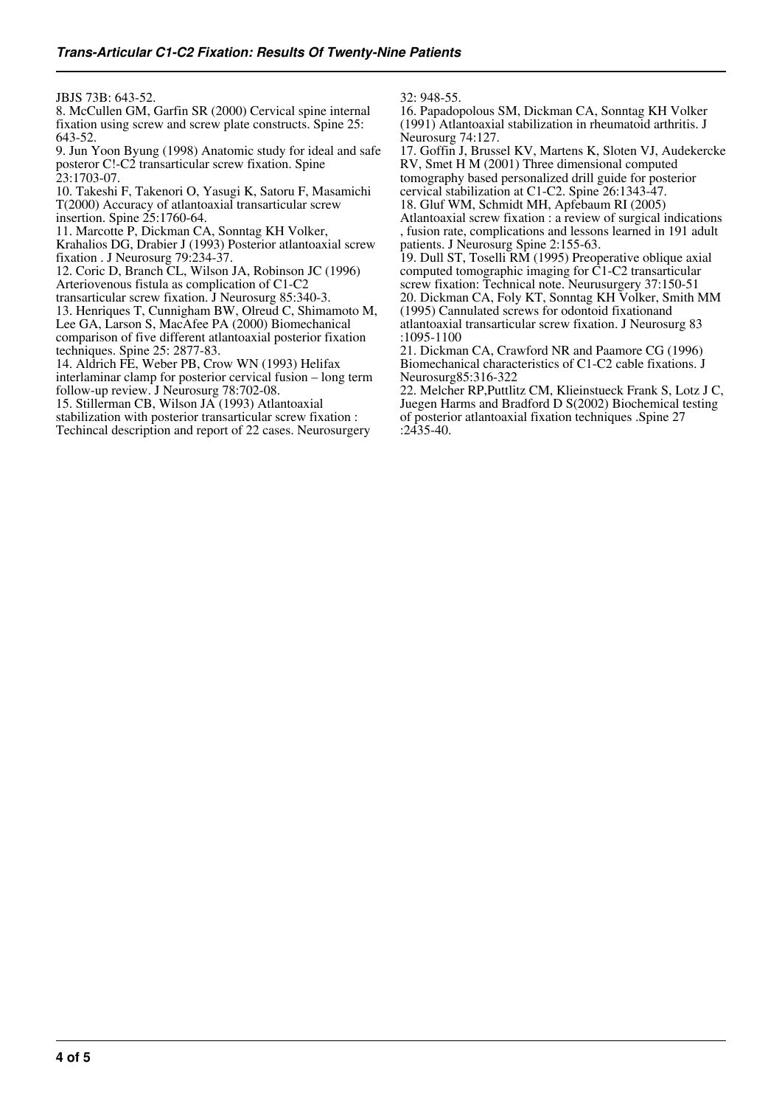JBJS 73B: 643-52.

8. McCullen GM, Garfin SR (2000) Cervical spine internal fixation using screw and screw plate constructs. Spine 25: 643-52.

9. Jun Yoon Byung (1998) Anatomic study for ideal and safe posteror C!-C2 transarticular screw fixation. Spine  $23.1703 - 07$ 

10. Takeshi F, Takenori O, Yasugi K, Satoru F, Masamichi T(2000) Accuracy of atlantoaxial transarticular screw insertion. Spine 25:1760-64.

11. Marcotte P, Dickman CA, Sonntag KH Volker, Krahalios DG, Drabier J (1993) Posterior atlantoaxial screw fixation . J Neurosurg 79:234-37.

12. Coric D, Branch CL, Wilson JA, Robinson JC (1996) Arteriovenous fistula as complication of C1-C2

transarticular screw fixation. J Neurosurg 85:340-3.

13. Henriques T, Cunnigham BW, Olreud C, Shimamoto M, Lee GA, Larson S, MacAfee PA (2000) Biomechanical comparison of five different atlantoaxial posterior fixation techniques. Spine 25: 2877-83.

14. Aldrich FE, Weber PB, Crow WN (1993) Helifax interlaminar clamp for posterior cervical fusion – long term follow-up review. J Neurosurg 78:702-08.

15. Stillerman CB, Wilson JA (1993) Atlantoaxial stabilization with posterior transarticular screw fixation : Techincal description and report of 22 cases. Neurosurgery 32: 948-55.

16. Papadopolous SM, Dickman CA, Sonntag KH Volker (1991) Atlantoaxial stabilization in rheumatoid arthritis. J Neurosurg 74:127.

17. Goffin J, Brussel KV, Martens K, Sloten VJ, Audekercke RV, Smet H M (2001) Three dimensional computed tomography based personalized drill guide for posterior cervical stabilization at C1-C2. Spine 26:1343-47.

18. Gluf WM, Schmidt MH, Apfebaum RI (2005) Atlantoaxial screw fixation : a review of surgical indications , fusion rate, complications and lessons learned in 191 adult patients. J Neurosurg Spine 2:155-63.

19. Dull ST, Toselli RM (1995) Preoperative oblique axial computed tomographic imaging for C1-C2 transarticular screw fixation: Technical note. Neurusurgery 37:150-51 20. Dickman CA, Foly KT, Sonntag KH Volker, Smith MM (1995) Cannulated screws for odontoid fixationand atlantoaxial transarticular screw fixation. J Neurosurg 83 :1095-1100

21. Dickman CA, Crawford NR and Paamore CG (1996) Biomechanical characteristics of C1-C2 cable fixations. J Neurosurg85:316-322

22. Melcher RP,Puttlitz CM, Klieinstueck Frank S, Lotz J C, Juegen Harms and Bradford D S(2002) Biochemical testing of posterior atlantoaxial fixation techniques .Spine 27 :2435-40.